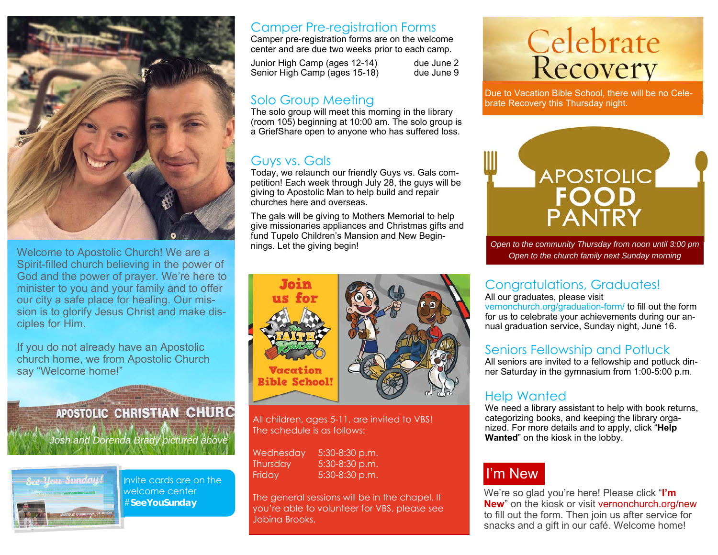

Welcome to Apostolic Church! We are a Spirit-filled church believing in the power of God and the power of prayer. We're here to minister to you and your family and to offer our city a safe place for healing. Our mission is to glorify Jesus Christ and make disciples for Him.

If you do not already have an Apostolic church home, we from Apostolic Church say "Welcome home!"





Invite cards are on the welcome center #**SeeYouSunday** 

#### Camper Pre-registration Forms

Camper pre-registration forms are on the welcome center and are due two weeks prior to each camp.

Junior High Camp (ages 12-14) due June 2 Senior High Camp (ages 15-18) due June 9

#### Solo Group Meeting

The solo group will meet this morning in the library (room 105) beginning at 10:00 am. The solo group is a GriefShare open to anyone who has suffered loss.

#### Guys vs. Gals

Today, we relaunch our friendly Guys vs. Gals competition! Each week through July 28, the guys will be giving to Apostolic Man to help build and repair churches here and overseas.

The gals will be giving to Mothers Memorial to help give missionaries appliances and Christmas gifts and fund Tupelo Children's Mansion and New Beginnings. Let the giving begin!



All children, ages 5-11, are invited to VBS! The schedule is as follows:

Wednesday 5:30-8:30 p.m. Thursday 5:30-8:30 p.m. Friday 5:30-8:30 p.m.

The general sessions will be in the chapel. If you're able to volunteer for VBS, please see Jobina Brooks.

# Celebrate<br>Recovery

Due to Vacation Bible School, there will be no Celebrate Recovery this Thursday night.



*Open to the community Thursday from noon until 3:00 pm Open to the church family next Sunday morning* 

#### Congratulations, Graduates!

All our graduates, please visit

vernonchurch.org/graduation-form/ to fill out the form for us to celebrate your achievements during our annual graduation service, Sunday night, June 16.

#### Seniors Fellowship and Potluck

All seniors are invited to a fellowship and potluck dinner Saturday in the gymnasium from 1:00-5:00 p.m.

#### Help Wanted

We need a library assistant to help with book returns, categorizing books, and keeping the library organized. For more details and to apply, click "**Help Wanted**" on the kiosk in the lobby.

### I'm New

We're so glad you're here! Please click "**I'm New**" on the kiosk or visit vernonchurch.org/new to fill out the form. Then join us after service for snacks and a gift in our café. Welcome home!